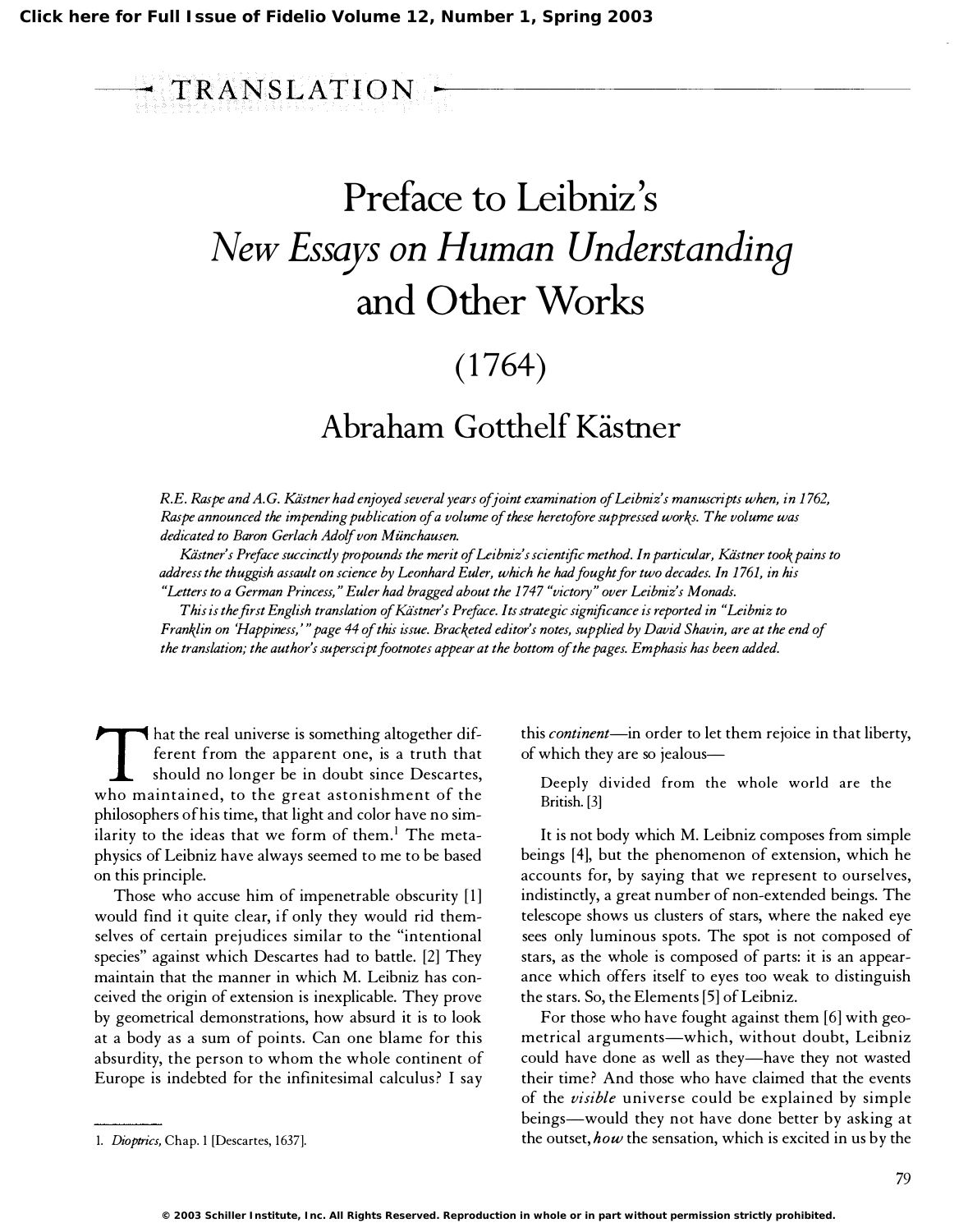## ---� TRANSLATION ��----------------------- Preface to Leibniz's New Essays on Human Understanding and Other Works

## $(1764)$

## Abraham Gotthelf Kästner

R.E. Raspe and A.G. Kästner had enjoyed several years of joint examination of Leibniz's manuscripts when, in 1762, Raspe announced the impending publication of a volume of these heretofore suppressed works. The volume was dedicated to Baron Gerlach Adolf von Miinchausen.

Kiistner's Preface succinctly propounds the merit of Leibniz's scientific method. In particular, Kastner took pains to address the thuggish assault on science by Leonhard Euler, which he had fought for two decades. In 1 761, in his "Letters to a German Princess," Euler had bragged about the 1 747 "victory" over Leibniz's Monads.

This is the first English translation of Kastner's Preface. Its strategic significance is reported in "Leibniz to Franklin on 'Happiness, '" page 44 of this issue. Bracketed editor's notes, supplied by David Shavin, are at the end of the translation; the author's superscipt footnotes appear at the bottom of the pages. Emphasis has been added.

Final the real dinverse is solid time apparent one, is a truth that<br>ferent from the apparent one, is a truth that<br>should no longer be in doubt since Descartes,<br>who maintained, to the great astonishment of the hat the real universe is something altogether different from the apparent one, is a truth that should no longer be in doubt since Descartes, philosophers of his time, that light and color have no similarity to the ideas that we form of them.! The metaphysics of Leibniz have always seemed to me to be based on this principle.

Those who accuse him of impenetrable obscurity [1] would find it quite clear, if only they would rid themselves of certain prejudices similar to the "intentional species" against which Descartes had to battle. [2] They maintain that the manner in which M. Leibniz has conceived the origin of extension is inexplicable. They prove by geometrical demonstrations, how absurd it is to look at a body as a sum of points. Can one blame for this absurdity, the person to whom the whole continent of Europe is indebted for the infinitesimal calculus? I say this *continent*—in order to let them rejoice in that liberty, of which they are so jealous-

Deeply divided from the whole world are the British. [3]

It is not body which M. Leibniz composes from simple beings [4], but the phenomenon of extension, which he accounts for, by saying that we represent to ourselves, indistinctly, a great number of non-extended beings. The telescope shows us clusters of stars, where the naked eye sees only luminous spots. The spot is not composed of stars, as the whole is composed of parts: it is an appearance which offers itself to eyes too weak to distinguish the stars. So, the Elements [5] of Leibniz.

For those who have fought against them [6] with geometrical arguments-which, without doubt, Leibniz could have done as well as they-have they not wasted their time? And those who have claimed that the events of the visible universe could be explained by simple beings-would they not have done better by asking at the outset, how the sensation, which is excited in us by the

<sup>1.</sup> Dioptrics, Chap. 1 [Descartes, 1637].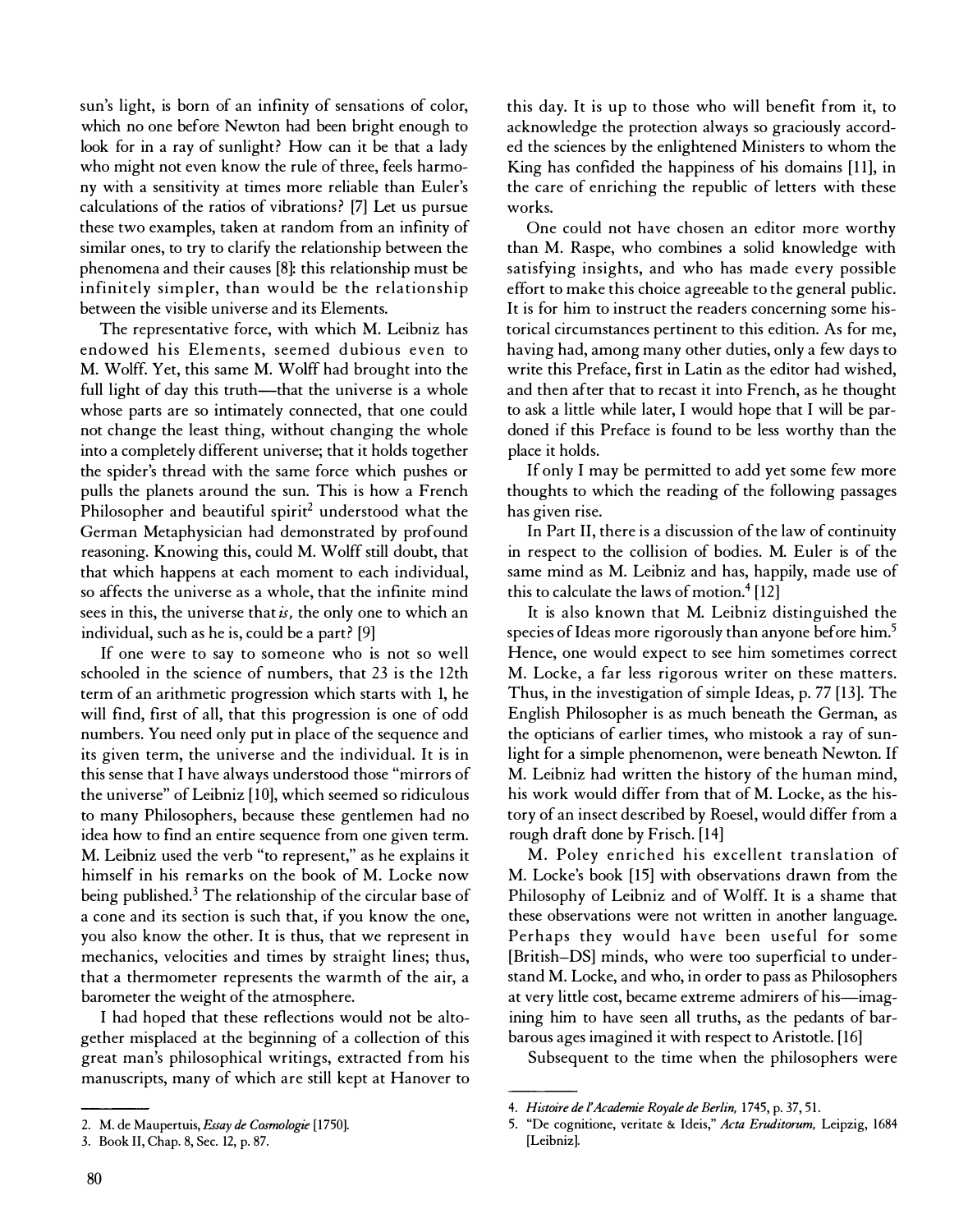sun's light, is born of an infinity of sensations of color, which no one before Newton had been bright enough to look for in a ray of sunlight? How can it be that a lady who might not even know the rule of three, feels harmony with a sensitivity at times more reliable than Euler's calculations of the ratios of vibrations? [7] Let us pursue these two examples, taken at random from an infinity of similar ones, to try to clarify the relationship between the phenomena and their causes [8]: this relationship must be infinitely simpler, than would be the relationship between the visible universe and its Elements.

The representative force, with which M. Leibniz has endowed his Elements, seemed dubious even to M. Wolff. Yet, this same M. Wolff had brought into the full light of day this truth-that the universe is a whole whose parts are so intimately connected, that one could not change the least thing, without changing the whole into a completely different universe; that it holds together the spider's thread with the same force which pushes or pulls the planets around the sun. This is how a French Philosopher and beautiful spirit<sup>2</sup> understood what the German Metaphysician had demonstrated by profound reasoning. Knowing this, could M. Wolff still doubt, that that which happens at each moment to each individual, so affects the universe as a whole, that the infinite mind sees in this, the universe that  $i$ s, the only one to which an individual, such as he is, could be a part? [9]

If one were to say to someone who is not so well schooled in the science of numbers, that 23 is the 12th term of an arithmetic progression which starts with 1, he will find, first of all, that this progression is one of odd numbers. You need only put in place of the sequence and its given term, the universe and the individual. It is in this sense that I have always understood those "mirrors of the universe" of Leibniz [10], which seemed so ridiculous to many Philosophers, because these gentlemen had no idea how to find an entire sequence from one given term. M. Leibniz used the verb "to represent," as he explains it himself in his remarks on the book of M. Locke now being published.<sup>3</sup> The relationship of the circular base of a cone and its section is such that, if you know the one, you also know the other. It is thus, that we represent in mechanics, velocities and times by straight lines; thus, that a thermometer represents the warmth of the air, a barometer the weight of the atmosphere.

I had hoped that these reflections would not be altogether misplaced at the beginning of a collection of this great man's philosophical writings, extracted from his manuscripts, many of which are still kept at Hanover to this day. It is up to those who will benefit from it, to acknowledge the protection always so graciously accorded the sciences by the enlightened Ministers to whom the King has confided the happiness of his domains [11], in the care of enriching the republic of letters with these works.

One could not have chosen an editor more worthy than M. Raspe, who combines a solid knowledge with satisfying insights, and who has made every possible effort to make this choice agreeable to the general public. It is for him to instruct the readers concerning some historical circumstances pertinent to this edition. As for me, having had, among many other duties, only a few days to write this Preface, first in Latin as the editor had wished, and then after that to recast it into French, as he thought to ask a little while later, I would hope that I will be pardoned if this Preface is found to be less worthy than the place it holds.

If only I may be permitted to add yet some few more thoughts to which the reading of the following passages has given rise.

In Part II, there is a discussion of the law of continuity in respect to the collision of bodies. M. Euler is of the same mind as M. Leibniz and has, happily, made use of this to calculate the laws of motion. $4$ [12]

It is also known that M. Leibniz distinguished the species of Ideas more rigorously than anyone before him.<sup>5</sup> Hence, one would expect to see him sometimes correct M. Locke, a far less rigorous writer on these matters. Thus, in the investigation of simple Ideas, p. 77 [13]. The English Philosopher is as much beneath the German, as the opticians of earlier times, who mistook a ray of sunlight for a simple phenomenon, were beneath Newton. If M. Leibniz had written the history of the human mind, his work would differ from that of M. Locke, as the history of an insect described by Roesel, would differ from a rough draft done by Frisch. [14]

M. Poley enriched his excellent translation of M. Locke's book [15] with observations drawn from the Philosophy of Leibniz and of Wolff. It is a shame that these observations were not written in another language. Perhaps they would have been useful for some [British-DS] minds, who were too superficial to understand M. Locke, and who, in order to pass as Philosophers at very little cost, became extreme admirers of his-imagining him to have seen all truths, as the pedants of barbarous ages imagined it with respect to Aristotle. [16]

Subsequent to the time when the philosophers were

<sup>2.</sup> M. de Maupertuis, Essay de Cosmologie [1750].

<sup>3.</sup> Book II, Chap. 8, Sec. 12, p. 87.

<sup>4.</sup> Histoire de l'Academie Royale de Berlin, 1745, p. 37, 51.

<sup>5. &</sup>quot;De cognitione, veritate & Ideis," Acta Eruditorum, Leipzig, 1684 [Leibniz].